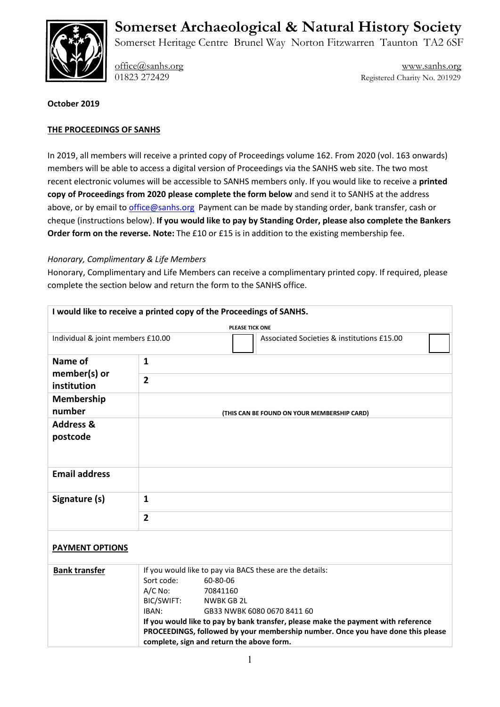

# **Somerset Archaeological & Natural History Society**

Somerset Heritage Centre Brunel Way Norton Fitzwarren Taunton TA2 6SF

[office@sanhs.org](mailto:office@sanhs.org) [www.sanhs.org](http://www.sanhs.org/) 01823 272429 Registered Charity No. 201929

### **October 2019**

## **THE PROCEEDINGS OF SANHS**

In 2019, all members will receive a printed copy of Proceedings volume 162. From 2020 (vol. 163 onwards) members will be able to access a digital version of Proceedings via the SANHS web site. The two most recent electronic volumes will be accessible to SANHS members only. If you would like to receive a **printed copy of Proceedings from 2020 please complete the form below** and send it to SANHS at the address above, or by email t[o office@sanhs.org](mailto:office@sanhs.org) Payment can be made by standing order, bank transfer, cash or cheque (instructions below). **If you would like to pay by Standing Order, please also complete the Bankers Order form on the reverse. Note:** The £10 or £15 is in addition to the existing membership fee.

#### *Honorary, Complimentary & Life Members*

Honorary, Complimentary and Life Members can receive a complimentary printed copy. If required, please complete the section below and return the form to the SANHS office.

| I would like to receive a printed copy of the Proceedings of SANHS. |                                                                                                                                                                      |  |
|---------------------------------------------------------------------|----------------------------------------------------------------------------------------------------------------------------------------------------------------------|--|
| PLEASE TICK ONE                                                     |                                                                                                                                                                      |  |
| Individual & joint members £10.00                                   | Associated Societies & institutions £15.00                                                                                                                           |  |
| Name of                                                             | $\mathbf{1}$                                                                                                                                                         |  |
| member(s) or<br>institution                                         | $\overline{2}$                                                                                                                                                       |  |
| Membership<br>number                                                | (THIS CAN BE FOUND ON YOUR MEMBERSHIP CARD)                                                                                                                          |  |
| <b>Address &amp;</b><br>postcode                                    |                                                                                                                                                                      |  |
|                                                                     |                                                                                                                                                                      |  |
| <b>Email address</b>                                                |                                                                                                                                                                      |  |
| Signature (s)                                                       | $\mathbf{1}$                                                                                                                                                         |  |
|                                                                     | $\overline{2}$                                                                                                                                                       |  |
| <b>PAYMENT OPTIONS</b>                                              |                                                                                                                                                                      |  |
| <b>Bank transfer</b>                                                | If you would like to pay via BACS these are the details:                                                                                                             |  |
|                                                                     | Sort code:<br>60-80-06                                                                                                                                               |  |
|                                                                     | $A/C$ No:<br>70841160                                                                                                                                                |  |
|                                                                     | BIC/SWIFT:<br><b>NWBK GB 2L</b>                                                                                                                                      |  |
|                                                                     | IBAN:<br>GB33 NWBK 6080 0670 8411 60                                                                                                                                 |  |
|                                                                     | If you would like to pay by bank transfer, please make the payment with reference<br>PROCEEDINGS, followed by your membership number. Once you have done this please |  |
|                                                                     | complete, sign and return the above form.                                                                                                                            |  |
|                                                                     |                                                                                                                                                                      |  |